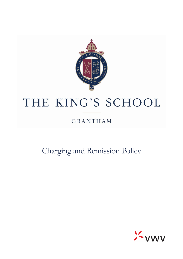

# THE KING'S SCHOOL

# **GRANTHAM**

Charging and Remission Policy

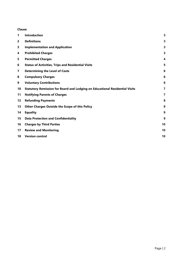#### **Clause**

| 1                 | <b>Introduction</b>                                                         | 3                       |
|-------------------|-----------------------------------------------------------------------------|-------------------------|
| 2                 | <b>Definitions</b>                                                          | 3                       |
| 3                 | <b>Implementation and Application</b>                                       | 3                       |
| 4                 | <b>Prohibited Charges</b>                                                   | 3                       |
| 5                 | <b>Permitted Charges</b>                                                    | $\overline{\mathbf{4}}$ |
| 6                 | <b>Status of Activities, Trips and Residential Visits</b>                   | 5                       |
| 7                 | <b>Determining the Level of Costs</b>                                       | 6                       |
| 8                 | <b>Compulsory Charges</b>                                                   | 6                       |
| 9                 | <b>Voluntary Contributions</b>                                              | 6                       |
| 10                | Statutory Remission for Board and Lodging on Educational Residential Visits | 7                       |
| 11                | <b>Notifying Parents of Charges</b>                                         | $\overline{7}$          |
| $12 \ \mathrm{ }$ | <b>Refunding Payments</b>                                                   | 8                       |
| 13                | <b>Other Charges Outside the Scope of this Policy</b>                       | 9                       |
| 14                | <b>Equality</b>                                                             | 9                       |
| 15                | <b>Data Protection and Confidentiality</b>                                  | 9                       |
| 16                | <b>Charges by Third Parties</b>                                             | 10                      |
| 17                | <b>Review and Monitoring</b>                                                | 10                      |
| 18                | <b>Version control</b>                                                      | 10                      |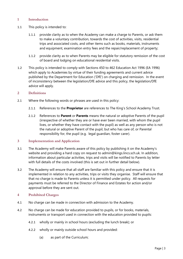# <span id="page-2-0"></span>**1 Introduction**

- 1.1 This policy is intended to:
	- 1.1.1 provide clarity as to when the Academy can make a charge to Parents, or ask them to make a voluntary contribution, towards the cost of activities, visits, residential trips and associated costs, and other items such as books, materials, instruments and equipment, examination entry fees and the repair/replacement of property;
	- 1.1.2 provide clarity as to when Parents may be eligible for statutory remission of the cost of board and lodging on educational residential visits.
- 1.2 This policy is intended to comply with Sections 450 to 462 Education Act 1996 (EA 1996) which apply to Academies by virtue of their funding agreements and current advice published by the Department for Education ('DfE') on charging and remission. In the event of inconsistency between the legislation/DfE advice and this policy, the legislation/DfE advice will apply.

#### <span id="page-2-1"></span>**2 Definitions**

- 2.1 Where the following words or phrases are used in this policy:
	- 2.1.1 References to the **Proprietor** are references to The King's School Academy Trust.
	- 2.1.2 References to **Parent** or **Parents** means the natural or adoptive Parents of the pupil (irrespective of whether they are or have ever been married, with whom the pupil lives, or whether they have contact with the pupil) as well as any person who is not the natural or adoptive Parent of the pupil, but who has care of, or Parental responsibility for, the pupil (e.g. legal guardian, foster carer).

#### <span id="page-2-2"></span>**3 Implementation and Application**

- 3.1 The Academy will make Parents aware of this policy by publishing it on the Academy's website and providing a hard copy on request to [admin@kings.lincs.sch.uk.](mailto:admin@kings.lincs.sch.uk) In addition, information about particular activities, trips and visits will be notified to Parents by letter with full details of the costs involved (this is set out in further detail below).
- 3.2 The Academy will ensure that all staff are familiar with this policy and ensure that it is implemented in relation to any activities, trips or visits they organise. Staff will ensure that that no charge is made to Parents unless it is permitted under policy. All requests for payments must be referred to the Director of Finance and Estates for action and/or approval before they are sent out.

# <span id="page-2-3"></span>**4 Prohibited Charges**

- 4.1 No charge can be made in connection with admission to the Academy.
- 4.2 No charge can be made for education provided to pupils, or for books, materials, instruments or transport used in connection with the education provided to pupils:
	- 4.2.1 wholly or mainly in school hours (excluding the lunch break); or
	- 4.2.2 wholly or mainly outside school hours and provided:
		- (a) as part of the Curriculum;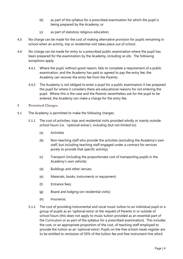- (b) as part of the syllabus for a prescribed examination for which the pupil is being prepared by the Academy; or
- (c) as part of statutory religious education;
- 4.3 No charge can be made for the cost of making alternative provision for pupils remaining in school when an activity, trip or residential visit takes place out of school.
- 4.4 No charge can be made for entry to a prescribed public examination where the pupil has been prepared for the examination by the Academy, including re-sits. The following exceptions apply:
	- 4.4.1 Where the pupil, without good reason, fails to complete a requirement of a public examination, and the Academy has paid or agreed to pay the entry fee, the Academy can recover the entry fee from the Parents;
	- 4.4.2 The Academy is not obliged to enter a pupil for a public examination it has prepared the pupil for where it considers there are educational reasons for not entering the pupil. Where this is the case and the Parents nevertheless ask for the pupil to be entered, the Academy can make a charge for the entry fee.

# <span id="page-3-0"></span>**5 Permitted Charges**

- 5.1 The Academy is permitted to make the following charges:
	- 5.1.1 The cost of activities, trips and residential visits provided wholly or mainly outside school hours (i.e. 'optional extras'), including (but not limited to):
		- (a) Activities
		- (b) Non-teaching staff who provide the activities (excluding the Academy's own staff, but including teaching staff engaged under a contract for services purely to provide that specific activity);
		- (c) Transport (including the proportionate cost of transporting pupils in the Academy's own vehicle);
		- (d) Buildings and other venues;
		- (e) Materials, books, instruments or equipment;
		- (f) Entrance fees;
		- (g) Board and lodging (on residential visits);
		- (h) Insurance;
	- 5.1.2 The cost of providing instrumental and vocal music tuition to an individual pupil or a group of pupils as an 'optional extra' at the request of Parents in or outside of school hours (this does not apply to music tuition provided as an essential part of the Curriculum or as part of the syllabus for a prescribed examination]. This includes the cost, or an appropriate proportion of the cost, of teaching staff employed to provide the tuition as an 'optional extra'; Pupils on the free school meals register are to be entitled to remission of 50% of the tuition fee and free instrument hire which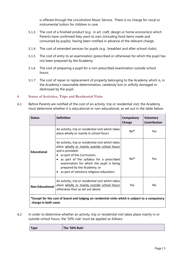is offered through the Lincolnshire Music Service. There is no charge for vocal or instrumental tuition for children in care.

- 5.1.3 The cost of a finished product (e.g. in art, craft, design or home economics) which Parents have confirmed they want to own (including food items made and consumed by pupils), having been notified in advance of the relevant charge;
- 5.1.4 The cost of extended services for pupils (e.g. breakfast and after-school clubs);
- 5.1.5 The cost of entry to an examination (prescribed or otherwise) for which the pupil has not been prepared by the Academy;
- 5.1.6 The cost of preparing a pupil for a non-prescribed examination outside school hours;
- 5.1.7 The cost of repair or replacement of property belonging to the Academy which is, in the Academy's reasonable determination, carelessly lost or wilfully damaged or destroyed by the pupil.

# <span id="page-4-0"></span>**6 Status of Activities, Trips and Residential Visits**

6.1 Before Parents are notified of the cost of an activity, trip or residential visit, the Academy must determine whether it is educational or non-educational, as set out in the table below:

| <b>Status</b>                                                                                                            | <b>Definition</b>                                                                                                                                                                                                                                                                                                       | <b>Compulsory</b><br>Charge | <b>Voluntary</b><br><b>Contribution</b> |  |  |
|--------------------------------------------------------------------------------------------------------------------------|-------------------------------------------------------------------------------------------------------------------------------------------------------------------------------------------------------------------------------------------------------------------------------------------------------------------------|-----------------------------|-----------------------------------------|--|--|
|                                                                                                                          | An activity, trip or residential visit which takes<br>place wholly or mainly in school hours                                                                                                                                                                                                                            | $No*$                       | Yes                                     |  |  |
| <b>Educational</b>                                                                                                       | An activity, trip or residential visit which takes<br>place wholly or mainly outside school hours<br>and is provided:<br>as part of the Curriculum;<br>as part of the syllabus for a prescribed<br>examination for which the pupil is being<br>prepared by the Academy; or<br>as part of statutory religious education; | $No*$                       | Yes                                     |  |  |
| <b>Non-Educational</b>                                                                                                   | An activity, trip or residential visit which takes<br>place wholly or mainly outside school hours<br>otherwise than as set out above                                                                                                                                                                                    | Yes                         | No                                      |  |  |
| *Except for the cost of board and lodging on residential visits which is subject to a compulsory<br>charge in both cases |                                                                                                                                                                                                                                                                                                                         |                             |                                         |  |  |

6.2 In order to determine whether an activity, trip or residential visit takes place mainly in or outside school hours, the '50% rule' must be applied as follows:

**Type The '50% Rule'**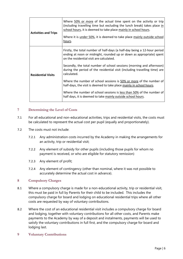| <b>Activities and Trips</b> | Where 50% or more of the actual time spent on the activity or trip<br>(including travelling time but excluding the lunch break) takes place in<br>school hours, it is deemed to take place mainly in school hours.<br>Where it is under 50%, it is deemed to take place mainly outside school<br>hours. |
|-----------------------------|---------------------------------------------------------------------------------------------------------------------------------------------------------------------------------------------------------------------------------------------------------------------------------------------------------|
|                             | Firstly, the total number of half-days (a half-day being a 12-hour period<br>ending at noon or midnight, rounded up or down as appropriate) spent<br>on the residential visit are calculated.                                                                                                           |
| <b>Residential Visits</b>   | Secondly, the total number of school sessions (morning and afternoon)<br>during the period of the residential visit (including travelling time) are<br>calculated.                                                                                                                                      |
|                             | Where the number of school sessions is 50% or more of the number of<br>half-days, the visit is deemed to take place mainly in school hours.                                                                                                                                                             |
|                             | Where the number of school sessions is less than 50% of the number of<br>half days, it is deemed to take mainly outside school hours.                                                                                                                                                                   |

# <span id="page-5-0"></span>**7 Determining the Level of Costs**

- 7.1 For all educational and non-educational activities, trips and residential visits, the costs must be calculated to represent the actual cost per pupil (equally and proportionately).
- 7.2 The costs must not include:
	- 7.2.1 Any administration costs incurred by the Academy in making the arrangements for an activity, trip or residential visit;
	- 7.2.2 Any element of subsidy for other pupils (including those pupils for whom no payment is received, or who are eligible for statutory remission)
	- 7.2.3 Any element of profit;
	- 7.2.4 Any element of contingency (other than nominal, where it was not possible to accurately determine the actual cost in advance).

#### <span id="page-5-1"></span>**8 Compulsory Charges**

- 8.1 Where a compulsory charge is made for a non-educational activity, trip or residential visit, this must be paid in full by Parents for their child to be included. This includes the compulsory charge for board and lodging on educational residential trips where all other costs are requested by way of voluntary contributions.
- 8.2 Where the cost of an educational residential visit includes a compulsory charge for board and lodging, together with voluntary contributions for all other costs, and Parents make payments to the Academy by way of a deposit and instalments, payments will be used to satisfy the voluntary contributions in full first, and the compulsory charge for board and lodging last.
- <span id="page-5-2"></span>**9 Voluntary Contributions**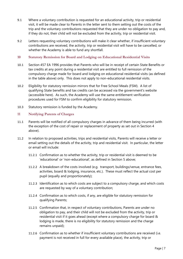- 9.1 Where a voluntary contribution is requested for an educational activity, trip or residential visit, it will be made clear to Parents in the letter sent to them setting out the costs of the trip and the voluntary contributions requested that they are under no obligation to pay and, if they do not, their child will not be excluded from the activity, trip or residential visit.
- 9.2 Letters requesting voluntary contributions will make it clear whether, if insufficient voluntary contributions are received, the activity, trip or residential visit will have to be cancelled, or whether the Academy is able to fund any shortfall.
- <span id="page-6-0"></span>**10 Statutory Remission for Board and Lodging on Educational Residential Visits**
- 10.1 Section 457 EA 1996 provides that Parents who will be in receipt of certain State Benefits or tax credits at any point during a residential visit are entitled to full remission of the compulsory charge made for board and lodging on educational residential visits (as defined in the table above) only. This does not apply to non-educational residential visits.
- 10.2 Eligibility for statutory remission mirrors that for Free School Meals (FSM). A list of qualifying State benefits and tax credits can be accessed via the government's website (accessible [here\)](https://www.gov.uk/apply-free-school-meals). As such, the Academy will use the same entitlement verification procedures used for FSM to confirm eligibility for statutory remission.
- 10.3 Statutory remission is funded by the Academy.

# <span id="page-6-1"></span>**11 Notifying Parents of Charges**

- 11.1 Parents will be notified of all compulsory charges in advance of them being incurred (with the exception of the cost of repair or replacement of property as set out in Section 4 above).
- 11.2 In relation to proposed activities, trips and residential visits, Parents will receive a letter or email setting out the details of the activity, trip and residential visit. In particular, the letter or email will include:
	- 11.2.1 Confirmation as to whether the activity, trip or residential visit is deemed to be 'educational' or 'non-educational', as defined in Section 5 above;
	- 11.2.2 A breakdown of the costs involved (e.g. transport, buildings/venue, entrance fees, activities, board & lodging, insurance, etc.). These must reflect the actual cost per pupil (equally and proportionately);
	- 11.2.3 Identification as to which costs are subject to a compulsory charge, and which costs are requested by way of a voluntary contribution;
	- 11.2.4 Confirmation as to which costs, if any, are eligible for statutory remission for qualifying Parents;
	- 11.2.5 Confirmation that, in respect of voluntary contributions, Parents are under no obligation to pay, and their child will not be excluded from the activity, trip or residential visit if it goes ahead (except where a compulsory charge for board & lodging is made, there is no eligibility for statutory remission and the charge remains unpaid);
	- 11.2.6 Confirmation as to whether if insufficient voluntary contributions are received (i.e. payment is not received in full for every available place), the activity, trip or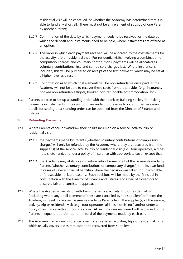residential visit will be cancelled, or whether the Academy has determined that it is able to fund any shortfall. There must not be any element of subsidy of one Parent by another Parent;

- 11.2.7 Confirmation of the date by which payment needs to be received, or the date by which the deposit and instalments need to be paid, where instalments are offered as an option;
- 11.2.8 The order in which each payment received will be allocated to the cost elements for the activity, trip or residential visit. For residential visits involving a combination of compulsory charges and voluntary contributions, payments will be allocated as voluntary contributions first, and compulsory charges last. Where insurance is included, this will be purchased on receipt of the first payment (which may be set at a higher level as a result);
- 11.2.9 Confirmation as to which cost elements will be non-refundable once paid, as the Academy will not be able to recover these costs from the provider (e.g. insurance, booked non-refundable flights, booked non-refundable accommodation, etc.).
- 11.3 Parents are free to set up a standing order with their bank or building society for making payments in instalments if they wish but are under no pressure to do so. The necessary details for setting up a standing order can be obtained from the Director of Finance and Estates.

# <span id="page-7-0"></span>**12 Refunding Payments**

- 12.1 Where Parents cancel or withdraw their child's inclusion on a service, activity, trip or residential visit:
	- 12.1.1 the payments made by Parents (whether voluntary contributions or compulsory charges) will only be refunded by the Academy where they are recovered from the supplier(s) of the service, activity, trip or residential visit (e.g. tour operators, airlines, hotels, etc.) and/or under a policy of insurance with appropriate cover; except that
	- 12.1.2 the Academy may at its sole discretion refund some or all of the payments made by Parents (whether voluntary contributions or compulsory charges) from its own funds in cases of severe financial hardship where the decision was taken for unavoidable, unforeseeable no-fault reasons. Such decisions will be made by the Principal in consultation with the Director of Finance and Estates, and Chair of Governors to ensure a fair and consistent approach.
- 12.2 Where the Academy cancels or withdraws the service, activity, trip or residential visit (including where any or all elements of these are cancelled by the supplier(s) of them) the Academy will seek to recover payments made by Parents from the supplier(s) of the service, activity, trip or residential visit (e.g. tour operators, airlines, hotels, etc.) and/or under a policy of insurance with appropriate cover. All such monies recovered will be passed on to Parents in equal proportion up to the total of the payments made by each parent.
- 12.3 The Academy has annual insurance cover for all services, activities, trips or residential visits which usually covers losses that cannot be recovered from suppliers.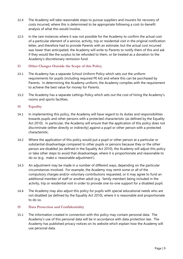- 12.4 The Academy will take reasonable steps to pursue suppliers and insurers for recovery of costs incurred, where this is determined to be appropriate following a cost-to-benefit analysis of what this would involve.
- 12.5 In the rare instances where it was not possible for the Academy to confirm the actual cost of a particular element of a service, activity, trip or residential visit in the original notification letter, and therefore had to provide Parents with an estimate, but the actual cost incurred was lower than anticipated, the Academy will write to Parents to notify them of this and ask if they would like the surplus to be refunded to them, or be treated as a donation to the Academy's discretionary remission fund.

# <span id="page-8-0"></span>**13 Other Charges Outside the Scope of this Policy**

- 13.1 The Academy has a separate School Uniform Policy which sets out the uniform requirements for pupils (including required PE kit) and where this can be purchased by Parents. In determining the Academy uniform, the Academy complies with the requirement to achieve the best value for money for Parents.
- 13.2 The Academy has a separate Lettings Policy which sets out the cost of hiring the Academy's rooms and sports facilities.

# <span id="page-8-1"></span>**14 Equality**

- 14.1 In implementing this policy, the Academy will have regard to its duties and responsibilities towards pupils and other persons with a protected characteristic (as defined by the Equality Act 2010). In particular, the Academy will ensure that the application of this policy does not discriminate (either directly or indirectly) against a pupil or other person with a protected characteristic.
- 14.2 Where the application of this policy would put a pupil or other person at a particular or substantial disadvantage compared to other pupils or persons because they or the other person are disabled (as defined in the Equality Act 2010), the Academy will adjust this policy or take other steps to avoid that disadvantage, where it is proportionate and reasonable to do so (e.g. make a 'reasonable adjustment').
- 14.3 An adjustment may be made in a number of different ways, depending on the particular circumstances involved. For example, the Academy may remit some or all of the compulsory charges and/or voluntary contributions requested, or it may agree to fund an additional member of staff or another adult (e.g. family member) being included in the activity, trip or residential visit in order to provide one-to-one support for a disabled pupil.
- 14.4 The Academy may also adjust this policy for pupils with special educational needs who are not disabled (as defined by the Equality Act 2010), where it is reasonable and proportionate to do so.

#### <span id="page-8-2"></span>**15 Data Protection and Confidentiality**

15.1 The information created in connection with this policy may contain personal data. The Academy's use of this personal data will be in accordance with data protection law. The Academy has published privacy notices on its website which explain how the Academy will use personal data.